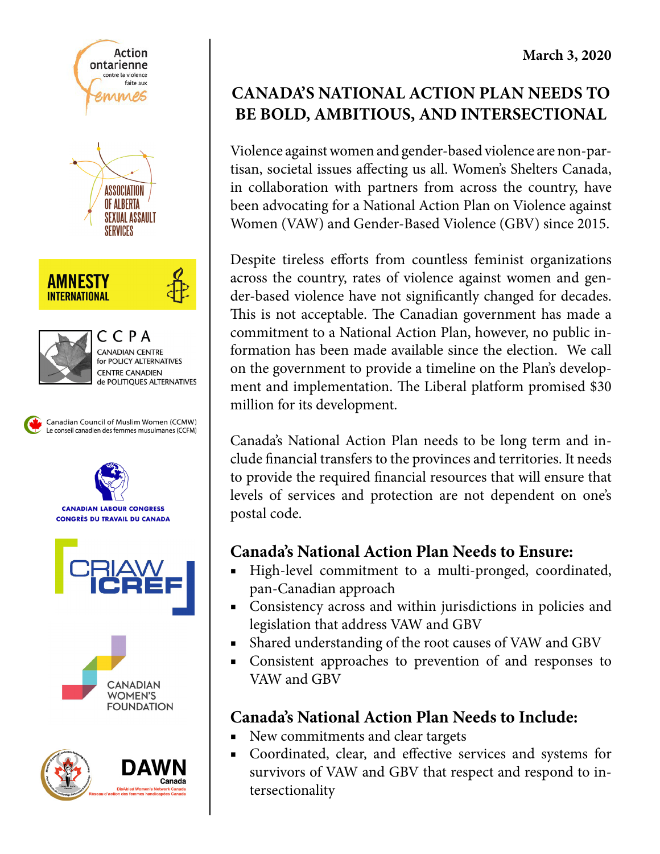

## **CANADA'S NATIONAL ACTION PLAN NEEDS TO BE BOLD, AMBITIOUS, AND INTERSECTIONAL**

Violence against women and gender-based violence are non-partisan, societal issues affecting us all. Women's Shelters Canada, in collaboration with partners from across the country, have been advocating for a National Action Plan on Violence against Women (VAW) and Gender-Based Violence (GBV) since 2015.

Despite tireless efforts from countless feminist organizations across the country, rates of violence against women and gender-based violence have not significantly changed for decades. This is not acceptable. The Canadian government has made a commitment to a National Action Plan, however, no public information has been made available since the election. We call on the government to provide a timeline on the Plan's development and implementation. The Liberal platform promised \$30 million for its development.

Canada's National Action Plan needs to be long term and include financial transfers to the provinces and territories. It needs to provide the required financial resources that will ensure that levels of services and protection are not dependent on one's postal code.

## **Canada's National Action Plan Needs to Ensure:**

- High-level commitment to a multi-pronged, coordinated, pan-Canadian approach
- Consistency across and within jurisdictions in policies and legislation that address VAW and GBV
- Shared understanding of the root causes of VAW and GBV
- Consistent approaches to prevention of and responses to VAW and GBV

## **Canada's National Action Plan Needs to Include:**

- New commitments and clear targets
- Coordinated, clear, and effective services and systems for survivors of VAW and GBV that respect and respond to intersectionality